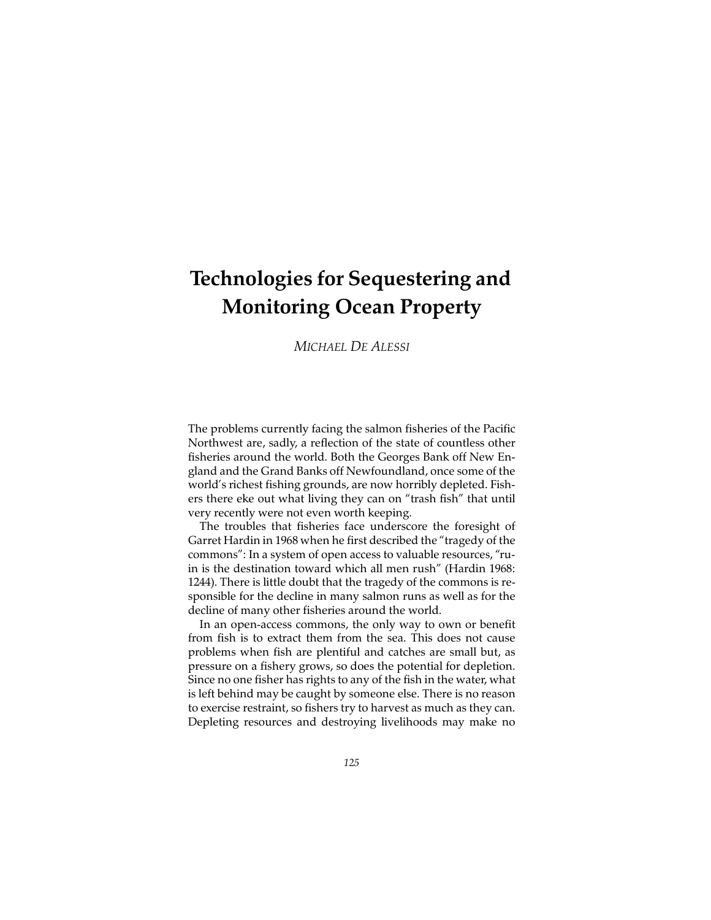# **Technologies for Sequestering and Monitoring Ocean Property**

*MICHAEL DE ALESSI*

The problems currently facing the salmon fisheries of the Pacific Northwest are, sadly, a reflection of the state of countless other fisheries around the world. Both the Georges Bank off New England and the Grand Banks off Newfoundland, once some of the world's richest fishing grounds, are now horribly depleted. Fishers there eke out what living they can on "trash fish" that until very recently were not even worth keeping.

The troubles that fisheries face underscore the foresight of Garret Hardin in 1968 when he first described the "tragedy of the commons": In a system of open access to valuable resources, "ruin is the destination toward which all men rush" (Hardin 1968: 1244). There is little doubt that the tragedy of the commons is responsible for the decline in many salmon runs as well as for the decline of many other fisheries around the world.

In an open-access commons, the only way to own or benefit from fish is to extract them from the sea. This does not cause problems when fish are plentiful and catches are small but, as pressure on a fishery grows, so does the potential for depletion. Since no one fisher has rights to any of the fish in the water, what is left behind may be caught by someone else. There is no reason to exercise restraint, so fishers try to harvest as much as they can. Depleting resources and destroying livelihoods may make no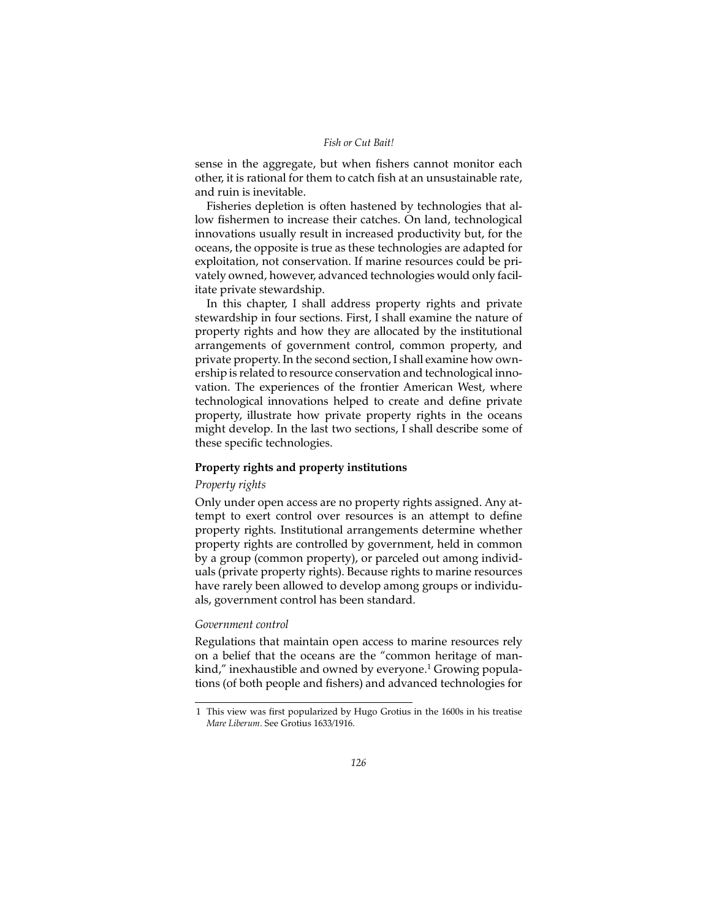sense in the aggregate, but when fishers cannot monitor each other, it is rational for them to catch fish at an unsustainable rate, and ruin is inevitable.

Fisheries depletion is often hastened by technologies that allow fishermen to increase their catches. On land, technological innovations usually result in increased productivity but, for the oceans, the opposite is true as these technologies are adapted for exploitation, not conservation. If marine resources could be privately owned, however, advanced technologies would only facilitate private stewardship.

In this chapter, I shall address property rights and private stewardship in four sections. First, I shall examine the nature of property rights and how they are allocated by the institutional arrangements of government control, common property, and private property. In the second section, I shall examine how ownership is related to resource conservation and technological innovation. The experiences of the frontier American West, where technological innovations helped to create and define private property, illustrate how private property rights in the oceans might develop. In the last two sections, I shall describe some of these specific technologies.

## **Property rights and property institutions**

## *Property rights*

Only under open access are no property rights assigned. Any attempt to exert control over resources is an attempt to define property rights. Institutional arrangements determine whether property rights are controlled by government, held in common by a group (common property), or parceled out among individuals (private property rights). Because rights to marine resources have rarely been allowed to develop among groups or individuals, government control has been standard.

## *Government control*

Regulations that maintain open access to marine resources rely on a belief that the oceans are the "common heritage of mankind," inexhaustible and owned by everyone.<sup>1</sup> Growing populations (of both people and fishers) and advanced technologies for

<sup>1</sup> This view was first popularized by Hugo Grotius in the 1600s in his treatise *Mare Liberum*. See Grotius 1633/1916.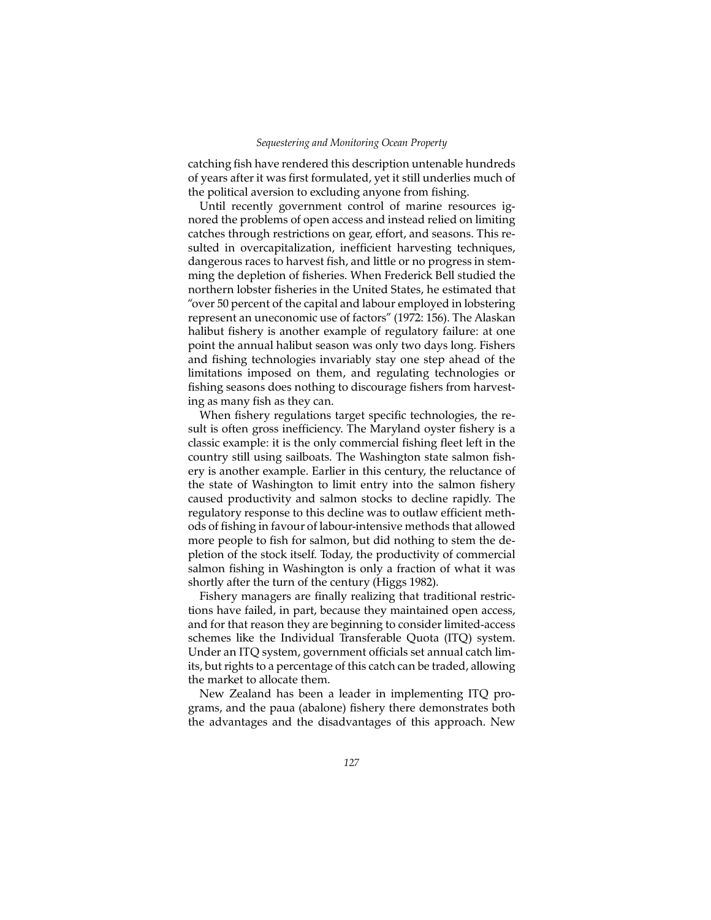#### *Sequestering and Monitoring Ocean Property*

catching fish have rendered this description untenable hundreds of years after it was first formulated, yet it still underlies much of the political aversion to excluding anyone from fishing.

Until recently government control of marine resources ignored the problems of open access and instead relied on limiting catches through restrictions on gear, effort, and seasons. This resulted in overcapitalization, inefficient harvesting techniques, dangerous races to harvest fish, and little or no progress in stemming the depletion of fisheries. When Frederick Bell studied the northern lobster fisheries in the United States, he estimated that "over 50 percent of the capital and labour employed in lobstering represent an uneconomic use of factors" (1972: 156). The Alaskan halibut fishery is another example of regulatory failure: at one point the annual halibut season was only two days long. Fishers and fishing technologies invariably stay one step ahead of the limitations imposed on them, and regulating technologies or fishing seasons does nothing to discourage fishers from harvesting as many fish as they can.

When fishery regulations target specific technologies, the result is often gross inefficiency. The Maryland oyster fishery is a classic example: it is the only commercial fishing fleet left in the country still using sailboats. The Washington state salmon fishery is another example. Earlier in this century, the reluctance of the state of Washington to limit entry into the salmon fishery caused productivity and salmon stocks to decline rapidly. The regulatory response to this decline was to outlaw efficient methods of fishing in favour of labour-intensive methods that allowed more people to fish for salmon, but did nothing to stem the depletion of the stock itself. Today, the productivity of commercial salmon fishing in Washington is only a fraction of what it was shortly after the turn of the century (Higgs 1982).

Fishery managers are finally realizing that traditional restrictions have failed, in part, because they maintained open access, and for that reason they are beginning to consider limited-access schemes like the Individual Transferable Quota (ITQ) system. Under an ITQ system, government officials set annual catch limits, but rights to a percentage of this catch can be traded, allowing the market to allocate them.

New Zealand has been a leader in implementing ITQ programs, and the paua (abalone) fishery there demonstrates both the advantages and the disadvantages of this approach. New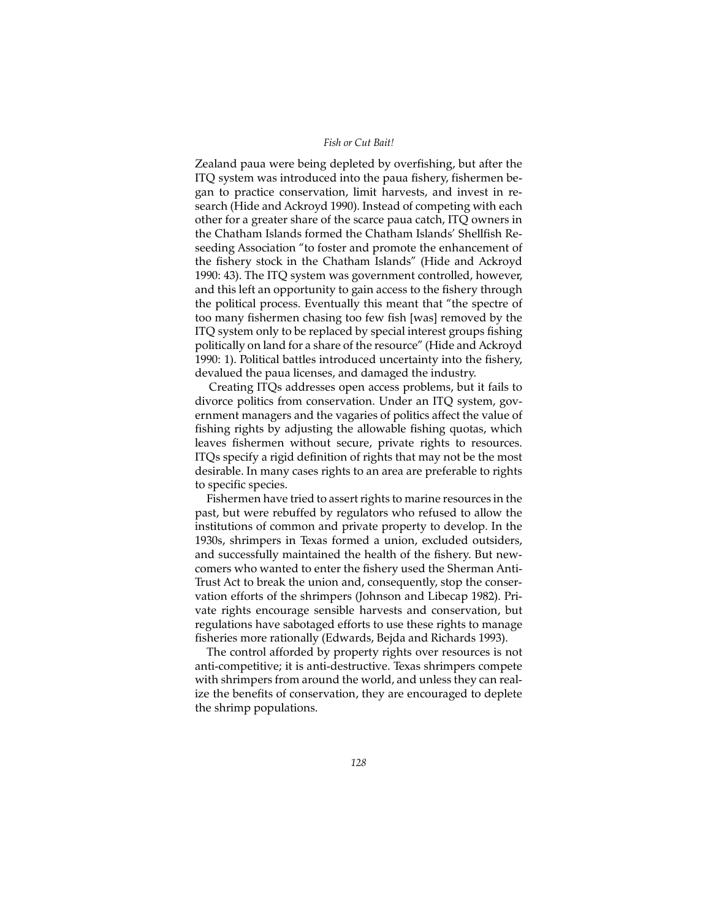Zealand paua were being depleted by overfishing, but after the ITQ system was introduced into the paua fishery, fishermen began to practice conservation, limit harvests, and invest in research (Hide and Ackroyd 1990). Instead of competing with each other for a greater share of the scarce paua catch, ITQ owners in the Chatham Islands formed the Chatham Islands' Shellfish Reseeding Association "to foster and promote the enhancement of the fishery stock in the Chatham Islands" (Hide and Ackroyd 1990: 43). The ITQ system was government controlled, however, and this left an opportunity to gain access to the fishery through the political process. Eventually this meant that "the spectre of too many fishermen chasing too few fish [was] removed by the ITQ system only to be replaced by special interest groups fishing politically on land for a share of the resource" (Hide and Ackroyd 1990: 1). Political battles introduced uncertainty into the fishery, devalued the paua licenses, and damaged the industry.

Creating ITQs addresses open access problems, but it fails to divorce politics from conservation. Under an ITQ system, government managers and the vagaries of politics affect the value of fishing rights by adjusting the allowable fishing quotas, which leaves fishermen without secure, private rights to resources. ITQs specify a rigid definition of rights that may not be the most desirable. In many cases rights to an area are preferable to rights to specific species.

Fishermen have tried to assert rights to marine resources in the past, but were rebuffed by regulators who refused to allow the institutions of common and private property to develop. In the 1930s, shrimpers in Texas formed a union, excluded outsiders, and successfully maintained the health of the fishery. But newcomers who wanted to enter the fishery used the Sherman Anti-Trust Act to break the union and, consequently, stop the conservation efforts of the shrimpers (Johnson and Libecap 1982). Private rights encourage sensible harvests and conservation, but regulations have sabotaged efforts to use these rights to manage fisheries more rationally (Edwards, Bejda and Richards 1993).

The control afforded by property rights over resources is not anti-competitive; it is anti-destructive. Texas shrimpers compete with shrimpers from around the world, and unless they can realize the benefits of conservation, they are encouraged to deplete the shrimp populations.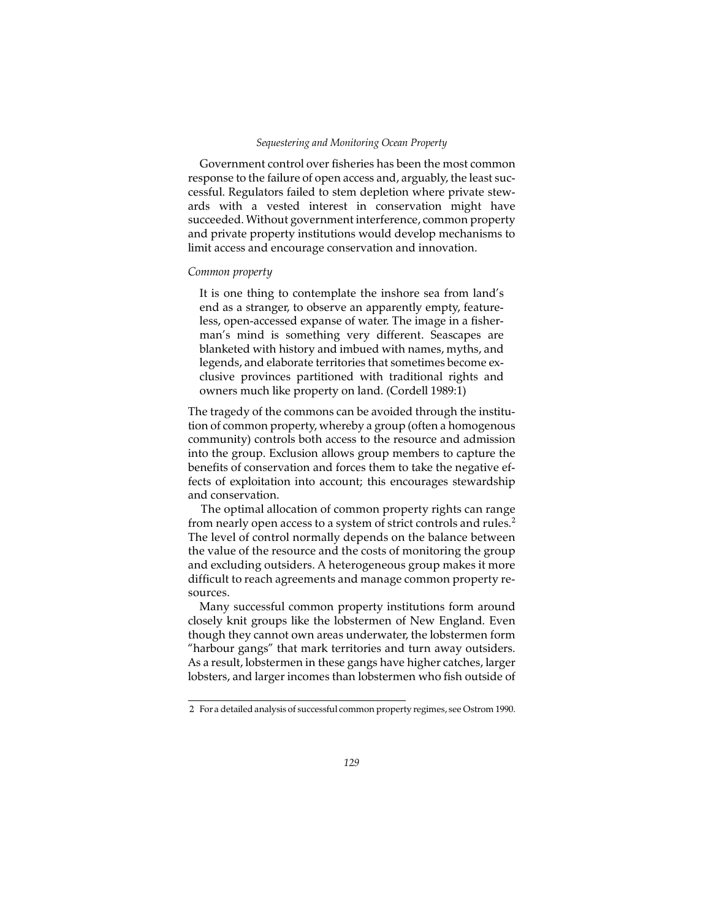Government control over fisheries has been the most common response to the failure of open access and, arguably, the least successful. Regulators failed to stem depletion where private stewards with a vested interest in conservation might have succeeded. Without government interference, common property and private property institutions would develop mechanisms to limit access and encourage conservation and innovation.

## *Common property*

It is one thing to contemplate the inshore sea from land's end as a stranger, to observe an apparently empty, featureless, open-accessed expanse of water. The image in a fisherman's mind is something very different. Seascapes are blanketed with history and imbued with names, myths, and legends, and elaborate territories that sometimes become exclusive provinces partitioned with traditional rights and owners much like property on land. (Cordell 1989:1)

The tragedy of the commons can be avoided through the institution of common property, whereby a group (often a homogenous community) controls both access to the resource and admission into the group. Exclusion allows group members to capture the benefits of conservation and forces them to take the negative effects of exploitation into account; this encourages stewardship and conservation.

The optimal allocation of common property rights can range from nearly open access to a system of strict controls and rules.2 The level of control normally depends on the balance between the value of the resource and the costs of monitoring the group and excluding outsiders. A heterogeneous group makes it more difficult to reach agreements and manage common property resources.

Many successful common property institutions form around closely knit groups like the lobstermen of New England. Even though they cannot own areas underwater, the lobstermen form "harbour gangs" that mark territories and turn away outsiders. As a result, lobstermen in these gangs have higher catches, larger lobsters, and larger incomes than lobstermen who fish outside of

<sup>2</sup> For a detailed analysis of successful common property regimes, see Ostrom 1990.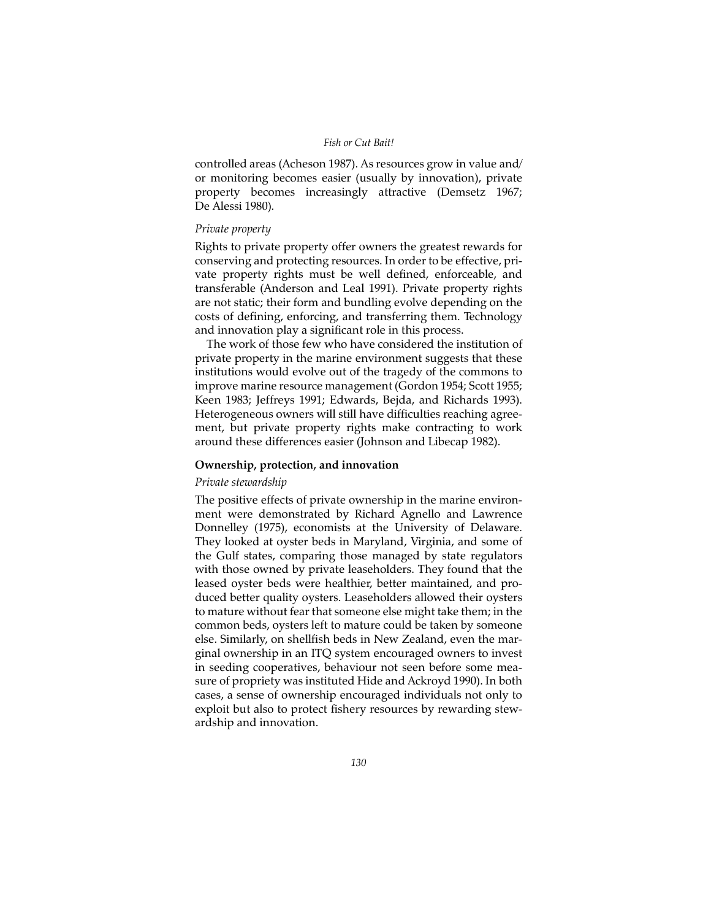controlled areas (Acheson 1987). As resources grow in value and/ or monitoring becomes easier (usually by innovation), private property becomes increasingly attractive (Demsetz 1967; De Alessi 1980).

## *Private property*

Rights to private property offer owners the greatest rewards for conserving and protecting resources. In order to be effective, private property rights must be well defined, enforceable, and transferable (Anderson and Leal 1991). Private property rights are not static; their form and bundling evolve depending on the costs of defining, enforcing, and transferring them. Technology and innovation play a significant role in this process.

The work of those few who have considered the institution of private property in the marine environment suggests that these institutions would evolve out of the tragedy of the commons to improve marine resource management (Gordon 1954; Scott 1955; Keen 1983; Jeffreys 1991; Edwards, Bejda, and Richards 1993). Heterogeneous owners will still have difficulties reaching agreement, but private property rights make contracting to work around these differences easier (Johnson and Libecap 1982).

# **Ownership, protection, and innovation**

## *Private stewardship*

The positive effects of private ownership in the marine environment were demonstrated by Richard Agnello and Lawrence Donnelley (1975), economists at the University of Delaware. They looked at oyster beds in Maryland, Virginia, and some of the Gulf states, comparing those managed by state regulators with those owned by private leaseholders. They found that the leased oyster beds were healthier, better maintained, and produced better quality oysters. Leaseholders allowed their oysters to mature without fear that someone else might take them; in the common beds, oysters left to mature could be taken by someone else. Similarly, on shellfish beds in New Zealand, even the marginal ownership in an ITQ system encouraged owners to invest in seeding cooperatives, behaviour not seen before some measure of propriety was instituted Hide and Ackroyd 1990). In both cases, a sense of ownership encouraged individuals not only to exploit but also to protect fishery resources by rewarding stewardship and innovation.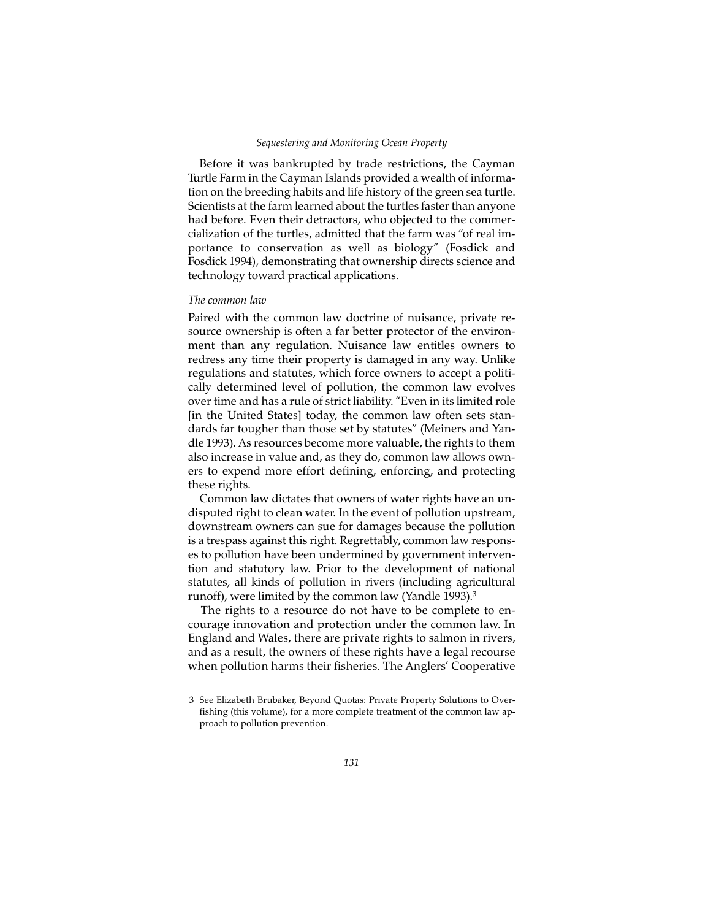#### *Sequestering and Monitoring Ocean Property*

Before it was bankrupted by trade restrictions, the Cayman Turtle Farm in the Cayman Islands provided a wealth of information on the breeding habits and life history of the green sea turtle. Scientists at the farm learned about the turtles faster than anyone had before. Even their detractors, who objected to the commercialization of the turtles, admitted that the farm was "of real importance to conservation as well as biology" (Fosdick and Fosdick 1994), demonstrating that ownership directs science and technology toward practical applications.

#### *The common law*

Paired with the common law doctrine of nuisance, private resource ownership is often a far better protector of the environment than any regulation. Nuisance law entitles owners to redress any time their property is damaged in any way. Unlike regulations and statutes, which force owners to accept a politically determined level of pollution, the common law evolves over time and has a rule of strict liability. "Even in its limited role [in the United States] today, the common law often sets standards far tougher than those set by statutes" (Meiners and Yandle 1993). As resources become more valuable, the rights to them also increase in value and, as they do, common law allows owners to expend more effort defining, enforcing, and protecting these rights.

Common law dictates that owners of water rights have an undisputed right to clean water. In the event of pollution upstream, downstream owners can sue for damages because the pollution is a trespass against this right. Regrettably, common law responses to pollution have been undermined by government intervention and statutory law. Prior to the development of national statutes, all kinds of pollution in rivers (including agricultural runoff), were limited by the common law (Yandle 1993).<sup>3</sup>

The rights to a resource do not have to be complete to encourage innovation and protection under the common law. In England and Wales, there are private rights to salmon in rivers, and as a result, the owners of these rights have a legal recourse when pollution harms their fisheries. The Anglers' Cooperative

<sup>3</sup> See Elizabeth Brubaker, Beyond Quotas: Private Property Solutions to Overfishing (this volume), for a more complete treatment of the common law approach to pollution prevention.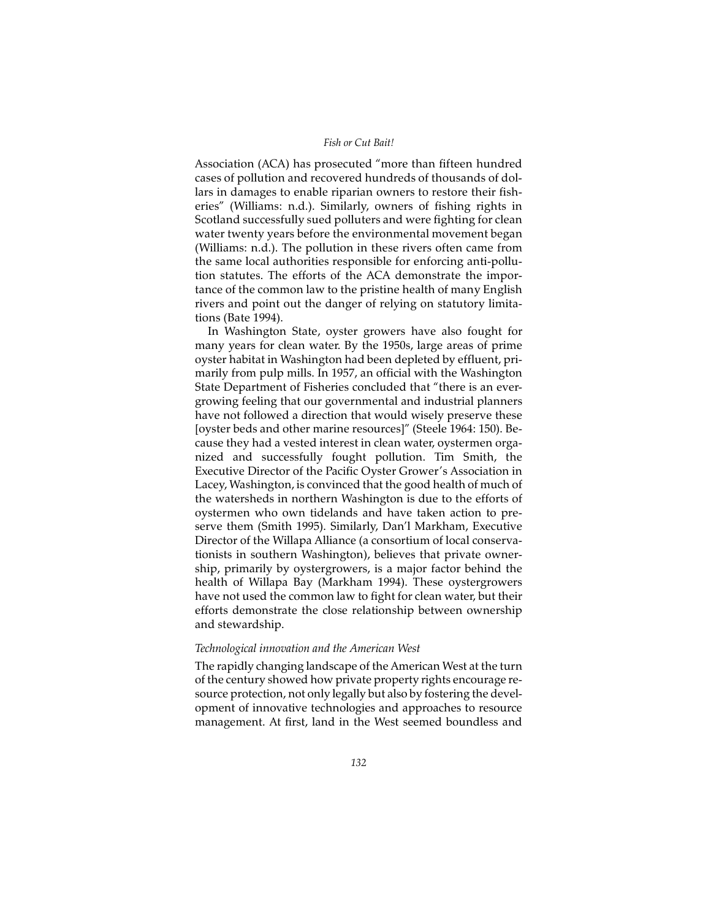Association (ACA) has prosecuted "more than fifteen hundred cases of pollution and recovered hundreds of thousands of dollars in damages to enable riparian owners to restore their fisheries" (Williams: n.d.). Similarly, owners of fishing rights in Scotland successfully sued polluters and were fighting for clean water twenty years before the environmental movement began (Williams: n.d.). The pollution in these rivers often came from the same local authorities responsible for enforcing anti-pollution statutes. The efforts of the ACA demonstrate the importance of the common law to the pristine health of many English rivers and point out the danger of relying on statutory limitations (Bate 1994).

In Washington State, oyster growers have also fought for many years for clean water. By the 1950s, large areas of prime oyster habitat in Washington had been depleted by effluent, primarily from pulp mills. In 1957, an official with the Washington State Department of Fisheries concluded that "there is an evergrowing feeling that our governmental and industrial planners have not followed a direction that would wisely preserve these [oyster beds and other marine resources]" (Steele 1964: 150). Because they had a vested interest in clean water, oystermen organized and successfully fought pollution. Tim Smith, the Executive Director of the Pacific Oyster Grower's Association in Lacey, Washington, is convinced that the good health of much of the watersheds in northern Washington is due to the efforts of oystermen who own tidelands and have taken action to preserve them (Smith 1995). Similarly, Dan'l Markham, Executive Director of the Willapa Alliance (a consortium of local conservationists in southern Washington), believes that private ownership, primarily by oystergrowers, is a major factor behind the health of Willapa Bay (Markham 1994). These oystergrowers have not used the common law to fight for clean water, but their efforts demonstrate the close relationship between ownership and stewardship.

## *Technological innovation and the American West*

The rapidly changing landscape of the American West at the turn of the century showed how private property rights encourage resource protection, not only legally but also by fostering the development of innovative technologies and approaches to resource management. At first, land in the West seemed boundless and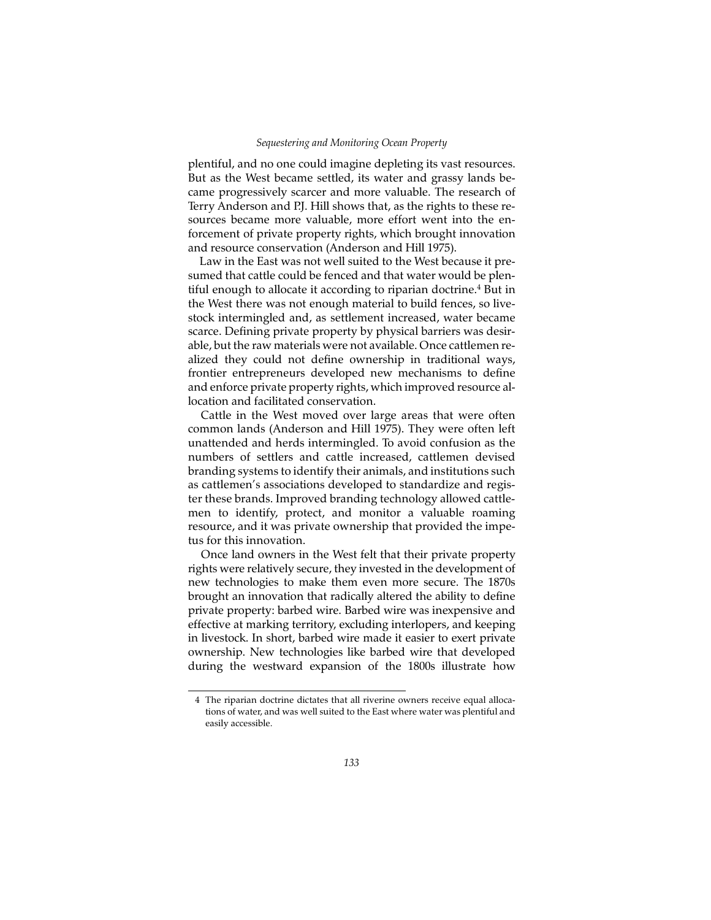plentiful, and no one could imagine depleting its vast resources. But as the West became settled, its water and grassy lands became progressively scarcer and more valuable. The research of Terry Anderson and P.J. Hill shows that, as the rights to these resources became more valuable, more effort went into the enforcement of private property rights, which brought innovation and resource conservation (Anderson and Hill 1975).

Law in the East was not well suited to the West because it presumed that cattle could be fenced and that water would be plentiful enough to allocate it according to riparian doctrine.<sup>4</sup> But in the West there was not enough material to build fences, so livestock intermingled and, as settlement increased, water became scarce. Defining private property by physical barriers was desirable, but the raw materials were not available. Once cattlemen realized they could not define ownership in traditional ways, frontier entrepreneurs developed new mechanisms to define and enforce private property rights, which improved resource allocation and facilitated conservation.

Cattle in the West moved over large areas that were often common lands (Anderson and Hill 1975). They were often left unattended and herds intermingled. To avoid confusion as the numbers of settlers and cattle increased, cattlemen devised branding systems to identify their animals, and institutions such as cattlemen's associations developed to standardize and register these brands. Improved branding technology allowed cattlemen to identify, protect, and monitor a valuable roaming resource, and it was private ownership that provided the impetus for this innovation.

Once land owners in the West felt that their private property rights were relatively secure, they invested in the development of new technologies to make them even more secure. The 1870s brought an innovation that radically altered the ability to define private property: barbed wire. Barbed wire was inexpensive and effective at marking territory, excluding interlopers, and keeping in livestock. In short, barbed wire made it easier to exert private ownership. New technologies like barbed wire that developed during the westward expansion of the 1800s illustrate how

<sup>4</sup> The riparian doctrine dictates that all riverine owners receive equal allocations of water, and was well suited to the East where water was plentiful and easily accessible.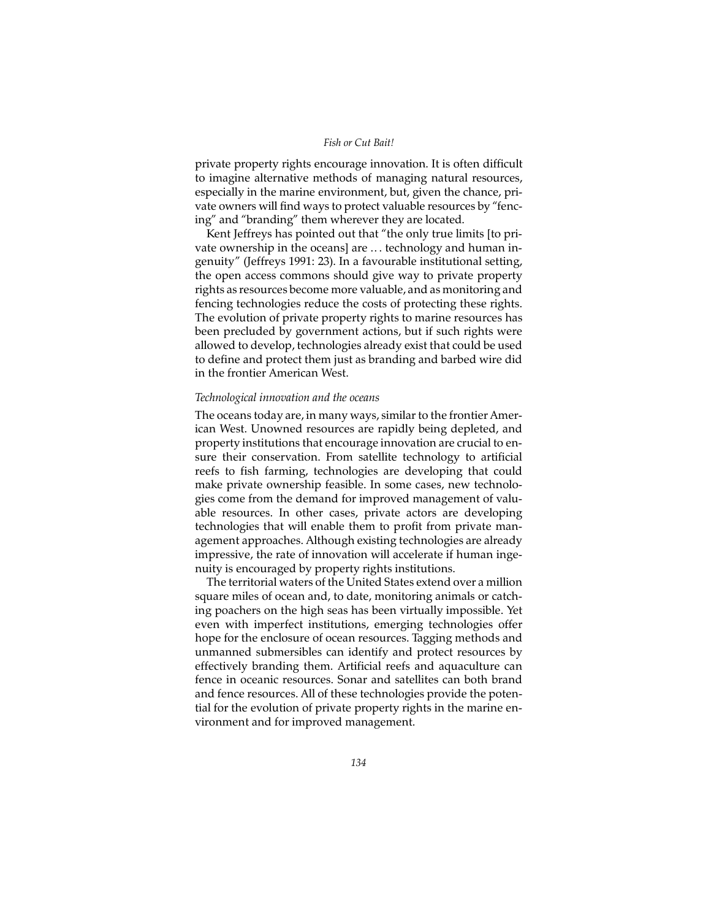private property rights encourage innovation. It is often difficult to imagine alternative methods of managing natural resources, especially in the marine environment, but, given the chance, private owners will find ways to protect valuable resources by "fencing" and "branding" them wherever they are located.

Kent Jeffreys has pointed out that "the only true limits [to private ownership in the oceans] are .. . technology and human ingenuity" (Jeffreys 1991: 23). In a favourable institutional setting, the open access commons should give way to private property rights as resources become more valuable, and as monitoring and fencing technologies reduce the costs of protecting these rights. The evolution of private property rights to marine resources has been precluded by government actions, but if such rights were allowed to develop, technologies already exist that could be used to define and protect them just as branding and barbed wire did in the frontier American West.

## *Technological innovation and the oceans*

The oceans today are, in many ways, similar to the frontier American West. Unowned resources are rapidly being depleted, and property institutions that encourage innovation are crucial to ensure their conservation. From satellite technology to artificial reefs to fish farming, technologies are developing that could make private ownership feasible. In some cases, new technologies come from the demand for improved management of valuable resources. In other cases, private actors are developing technologies that will enable them to profit from private management approaches. Although existing technologies are already impressive, the rate of innovation will accelerate if human ingenuity is encouraged by property rights institutions.

The territorial waters of the United States extend over a million square miles of ocean and, to date, monitoring animals or catching poachers on the high seas has been virtually impossible. Yet even with imperfect institutions, emerging technologies offer hope for the enclosure of ocean resources. Tagging methods and unmanned submersibles can identify and protect resources by effectively branding them. Artificial reefs and aquaculture can fence in oceanic resources. Sonar and satellites can both brand and fence resources. All of these technologies provide the potential for the evolution of private property rights in the marine environment and for improved management.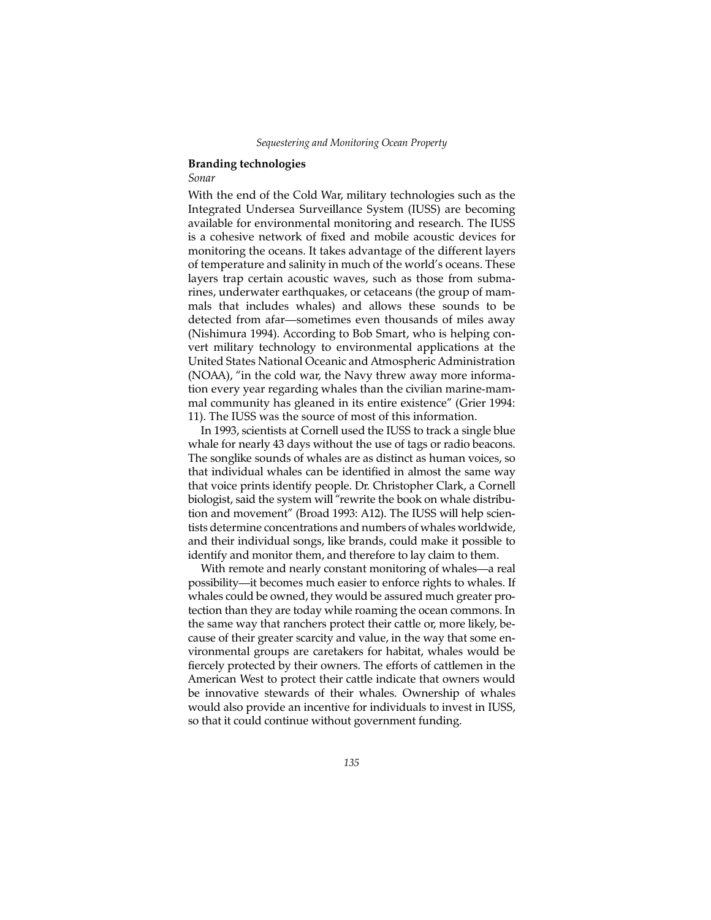## **Branding technologies**

## *Sonar*

With the end of the Cold War, military technologies such as the Integrated Undersea Surveillance System (IUSS) are becoming available for environmental monitoring and research. The IUSS is a cohesive network of fixed and mobile acoustic devices for monitoring the oceans. It takes advantage of the different layers of temperature and salinity in much of the world's oceans. These layers trap certain acoustic waves, such as those from submarines, underwater earthquakes, or cetaceans (the group of mammals that includes whales) and allows these sounds to be detected from afar—sometimes even thousands of miles away (Nishimura 1994). According to Bob Smart, who is helping convert military technology to environmental applications at the United States National Oceanic and Atmospheric Administration (NOAA), "in the cold war, the Navy threw away more information every year regarding whales than the civilian marine-mammal community has gleaned in its entire existence" (Grier 1994: 11). The IUSS was the source of most of this information.

In 1993, scientists at Cornell used the IUSS to track a single blue whale for nearly 43 days without the use of tags or radio beacons. The songlike sounds of whales are as distinct as human voices, so that individual whales can be identified in almost the same way that voice prints identify people. Dr. Christopher Clark, a Cornell biologist, said the system will "rewrite the book on whale distribution and movement" (Broad 1993: A12). The IUSS will help scientists determine concentrations and numbers of whales worldwide, and their individual songs, like brands, could make it possible to identify and monitor them, and therefore to lay claim to them.

With remote and nearly constant monitoring of whales—a real possibility—it becomes much easier to enforce rights to whales. If whales could be owned, they would be assured much greater protection than they are today while roaming the ocean commons. In the same way that ranchers protect their cattle or, more likely, because of their greater scarcity and value, in the way that some environmental groups are caretakers for habitat, whales would be fiercely protected by their owners. The efforts of cattlemen in the American West to protect their cattle indicate that owners would be innovative stewards of their whales. Ownership of whales would also provide an incentive for individuals to invest in IUSS, so that it could continue without government funding.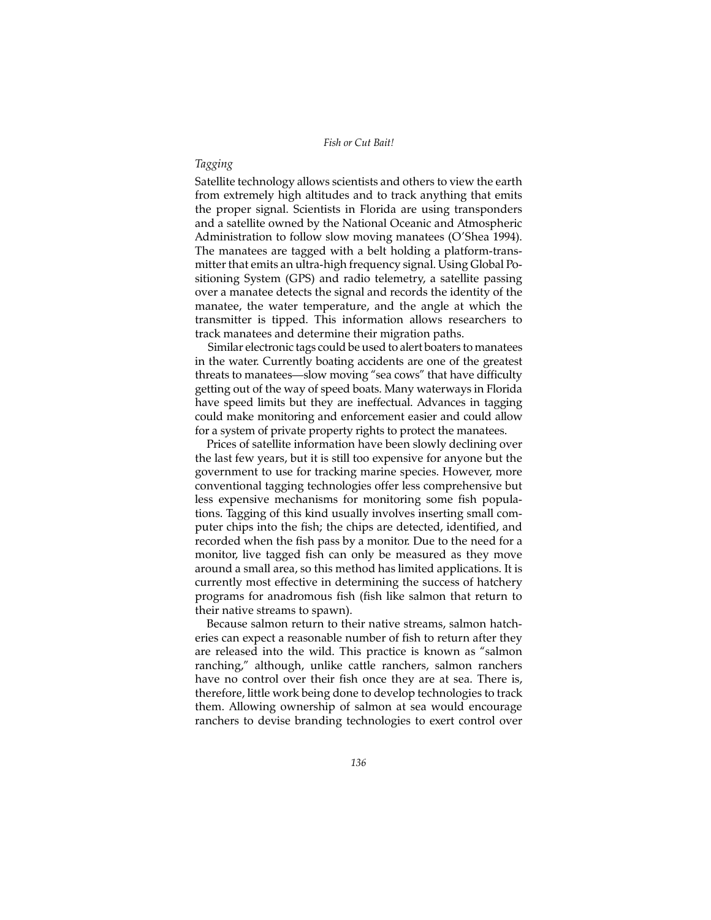## *Tagging*

Satellite technology allows scientists and others to view the earth from extremely high altitudes and to track anything that emits the proper signal. Scientists in Florida are using transponders and a satellite owned by the National Oceanic and Atmospheric Administration to follow slow moving manatees (O'Shea 1994). The manatees are tagged with a belt holding a platform-transmitter that emits an ultra-high frequency signal. Using Global Positioning System (GPS) and radio telemetry, a satellite passing over a manatee detects the signal and records the identity of the manatee, the water temperature, and the angle at which the transmitter is tipped. This information allows researchers to track manatees and determine their migration paths.

Similar electronic tags could be used to alert boaters to manatees in the water. Currently boating accidents are one of the greatest threats to manatees—slow moving "sea cows" that have difficulty getting out of the way of speed boats. Many waterways in Florida have speed limits but they are ineffectual. Advances in tagging could make monitoring and enforcement easier and could allow for a system of private property rights to protect the manatees.

Prices of satellite information have been slowly declining over the last few years, but it is still too expensive for anyone but the government to use for tracking marine species. However, more conventional tagging technologies offer less comprehensive but less expensive mechanisms for monitoring some fish populations. Tagging of this kind usually involves inserting small computer chips into the fish; the chips are detected, identified, and recorded when the fish pass by a monitor. Due to the need for a monitor, live tagged fish can only be measured as they move around a small area, so this method has limited applications. It is currently most effective in determining the success of hatchery programs for anadromous fish (fish like salmon that return to their native streams to spawn).

Because salmon return to their native streams, salmon hatcheries can expect a reasonable number of fish to return after they are released into the wild. This practice is known as "salmon ranching," although, unlike cattle ranchers, salmon ranchers have no control over their fish once they are at sea. There is, therefore, little work being done to develop technologies to track them. Allowing ownership of salmon at sea would encourage ranchers to devise branding technologies to exert control over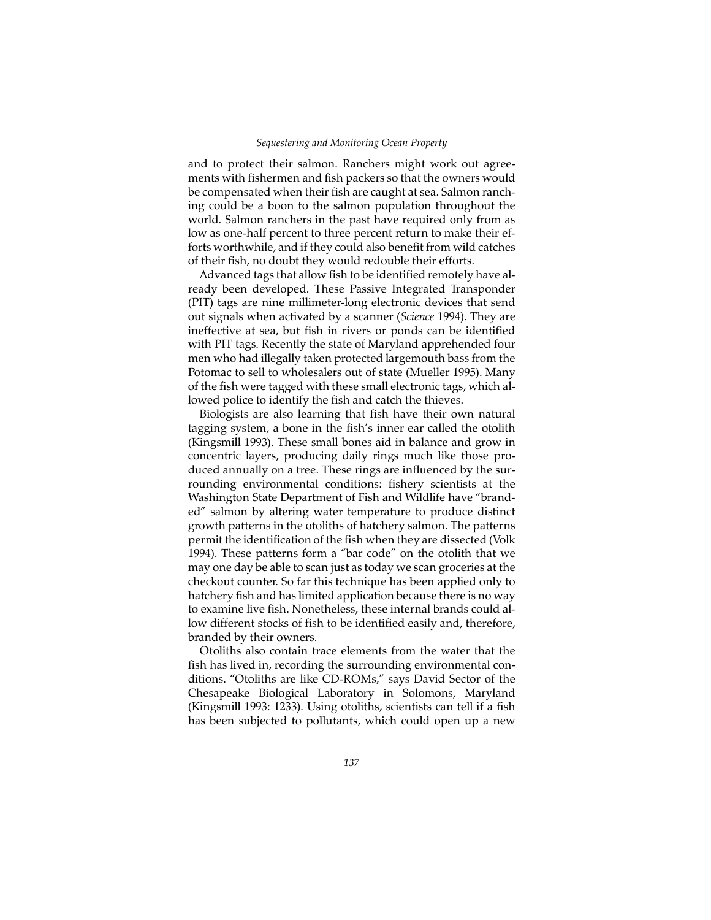and to protect their salmon. Ranchers might work out agreements with fishermen and fish packers so that the owners would be compensated when their fish are caught at sea. Salmon ranching could be a boon to the salmon population throughout the world. Salmon ranchers in the past have required only from as low as one-half percent to three percent return to make their efforts worthwhile, and if they could also benefit from wild catches of their fish, no doubt they would redouble their efforts.

Advanced tags that allow fish to be identified remotely have already been developed. These Passive Integrated Transponder (PIT) tags are nine millimeter-long electronic devices that send out signals when activated by a scanner (*Science* 1994). They are ineffective at sea, but fish in rivers or ponds can be identified with PIT tags. Recently the state of Maryland apprehended four men who had illegally taken protected largemouth bass from the Potomac to sell to wholesalers out of state (Mueller 1995). Many of the fish were tagged with these small electronic tags, which allowed police to identify the fish and catch the thieves.

Biologists are also learning that fish have their own natural tagging system, a bone in the fish's inner ear called the otolith (Kingsmill 1993). These small bones aid in balance and grow in concentric layers, producing daily rings much like those produced annually on a tree. These rings are influenced by the surrounding environmental conditions: fishery scientists at the Washington State Department of Fish and Wildlife have "branded" salmon by altering water temperature to produce distinct growth patterns in the otoliths of hatchery salmon. The patterns permit the identification of the fish when they are dissected (Volk 1994). These patterns form a "bar code" on the otolith that we may one day be able to scan just as today we scan groceries at the checkout counter. So far this technique has been applied only to hatchery fish and has limited application because there is no way to examine live fish. Nonetheless, these internal brands could allow different stocks of fish to be identified easily and, therefore, branded by their owners.

Otoliths also contain trace elements from the water that the fish has lived in, recording the surrounding environmental conditions. "Otoliths are like CD-ROMs," says David Sector of the Chesapeake Biological Laboratory in Solomons, Maryland (Kingsmill 1993: 1233). Using otoliths, scientists can tell if a fish has been subjected to pollutants, which could open up a new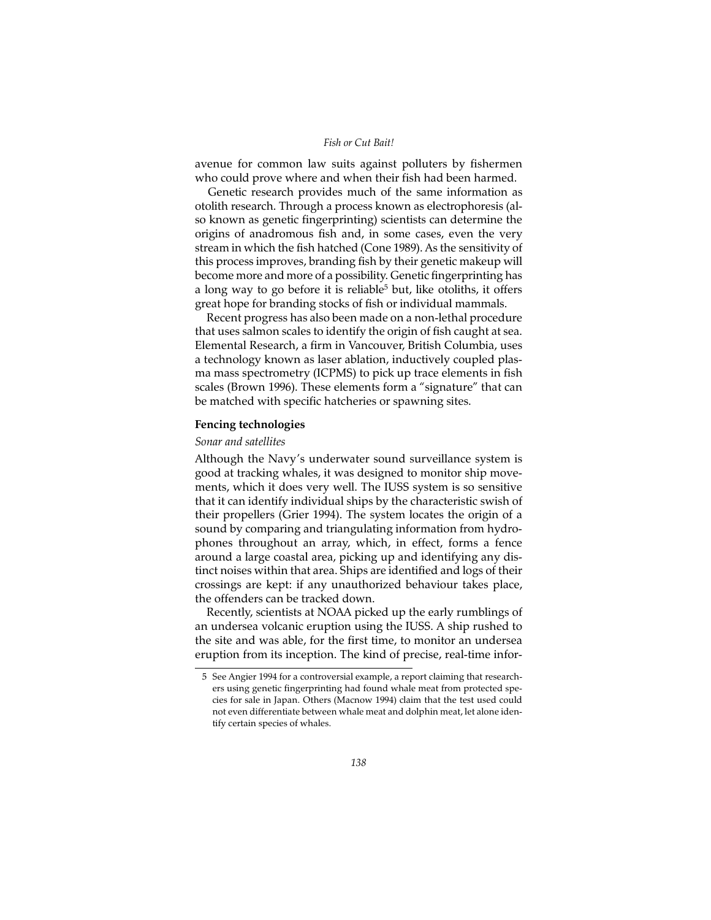avenue for common law suits against polluters by fishermen who could prove where and when their fish had been harmed.

Genetic research provides much of the same information as otolith research. Through a process known as electrophoresis (also known as genetic fingerprinting) scientists can determine the origins of anadromous fish and, in some cases, even the very stream in which the fish hatched (Cone 1989). As the sensitivity of this process improves, branding fish by their genetic makeup will become more and more of a possibility. Genetic fingerprinting has a long way to go before it is reliable<sup>5</sup> but, like otoliths, it offers great hope for branding stocks of fish or individual mammals.

Recent progress has also been made on a non-lethal procedure that uses salmon scales to identify the origin of fish caught at sea. Elemental Research, a firm in Vancouver, British Columbia, uses a technology known as laser ablation, inductively coupled plasma mass spectrometry (ICPMS) to pick up trace elements in fish scales (Brown 1996). These elements form a "signature" that can be matched with specific hatcheries or spawning sites.

## **Fencing technologies**

#### *Sonar and satellites*

Although the Navy's underwater sound surveillance system is good at tracking whales, it was designed to monitor ship movements, which it does very well. The IUSS system is so sensitive that it can identify individual ships by the characteristic swish of their propellers (Grier 1994). The system locates the origin of a sound by comparing and triangulating information from hydrophones throughout an array, which, in effect, forms a fence around a large coastal area, picking up and identifying any distinct noises within that area. Ships are identified and logs of their crossings are kept: if any unauthorized behaviour takes place, the offenders can be tracked down.

Recently, scientists at NOAA picked up the early rumblings of an undersea volcanic eruption using the IUSS. A ship rushed to the site and was able, for the first time, to monitor an undersea eruption from its inception. The kind of precise, real-time infor-

<sup>5</sup> See Angier 1994 for a controversial example, a report claiming that researchers using genetic fingerprinting had found whale meat from protected species for sale in Japan. Others (Macnow 1994) claim that the test used could not even differentiate between whale meat and dolphin meat, let alone identify certain species of whales.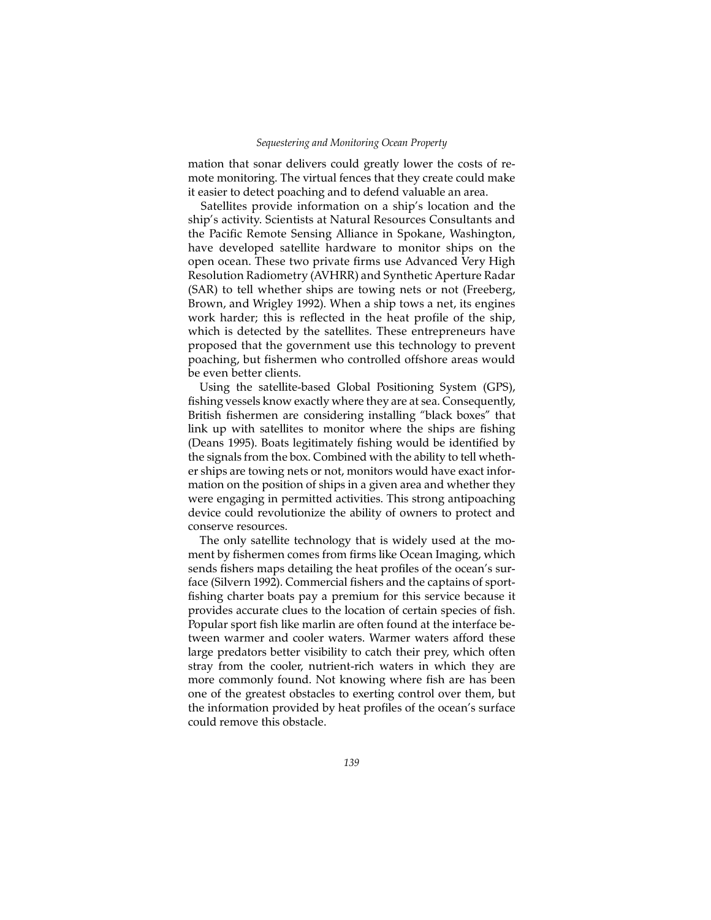mation that sonar delivers could greatly lower the costs of remote monitoring. The virtual fences that they create could make it easier to detect poaching and to defend valuable an area.

Satellites provide information on a ship's location and the ship's activity. Scientists at Natural Resources Consultants and the Pacific Remote Sensing Alliance in Spokane, Washington, have developed satellite hardware to monitor ships on the open ocean. These two private firms use Advanced Very High Resolution Radiometry (AVHRR) and Synthetic Aperture Radar (SAR) to tell whether ships are towing nets or not (Freeberg, Brown, and Wrigley 1992). When a ship tows a net, its engines work harder; this is reflected in the heat profile of the ship, which is detected by the satellites. These entrepreneurs have proposed that the government use this technology to prevent poaching, but fishermen who controlled offshore areas would be even better clients.

Using the satellite-based Global Positioning System (GPS), fishing vessels know exactly where they are at sea. Consequently, British fishermen are considering installing "black boxes" that link up with satellites to monitor where the ships are fishing (Deans 1995). Boats legitimately fishing would be identified by the signals from the box. Combined with the ability to tell whether ships are towing nets or not, monitors would have exact information on the position of ships in a given area and whether they were engaging in permitted activities. This strong antipoaching device could revolutionize the ability of owners to protect and conserve resources.

The only satellite technology that is widely used at the moment by fishermen comes from firms like Ocean Imaging, which sends fishers maps detailing the heat profiles of the ocean's surface (Silvern 1992). Commercial fishers and the captains of sportfishing charter boats pay a premium for this service because it provides accurate clues to the location of certain species of fish. Popular sport fish like marlin are often found at the interface between warmer and cooler waters. Warmer waters afford these large predators better visibility to catch their prey, which often stray from the cooler, nutrient-rich waters in which they are more commonly found. Not knowing where fish are has been one of the greatest obstacles to exerting control over them, but the information provided by heat profiles of the ocean's surface could remove this obstacle.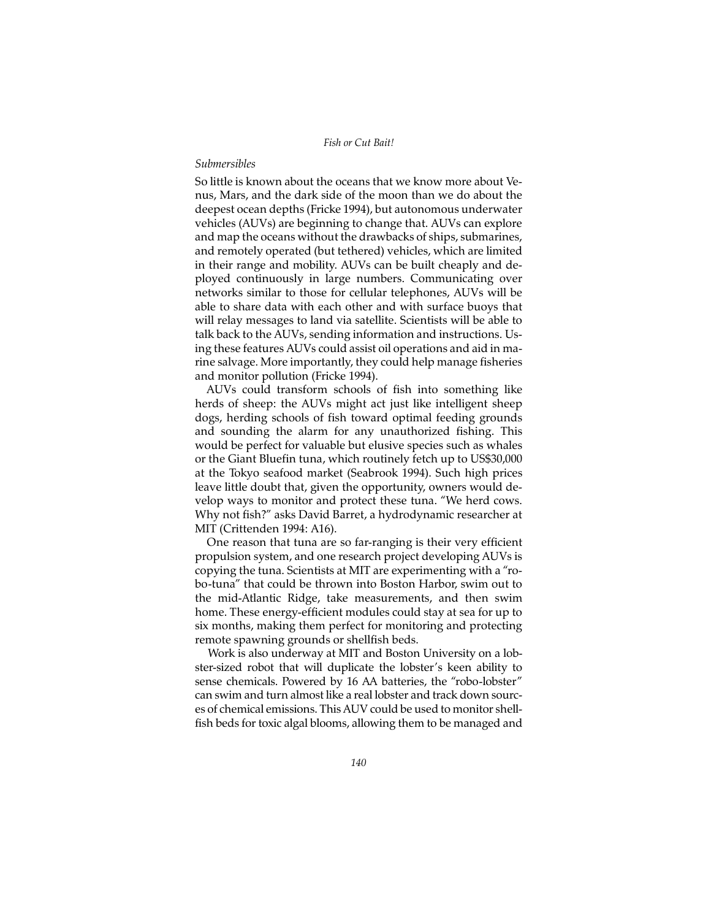## *Submersibles*

So little is known about the oceans that we know more about Venus, Mars, and the dark side of the moon than we do about the deepest ocean depths (Fricke 1994), but autonomous underwater vehicles (AUVs) are beginning to change that. AUVs can explore and map the oceans without the drawbacks of ships, submarines, and remotely operated (but tethered) vehicles, which are limited in their range and mobility. AUVs can be built cheaply and deployed continuously in large numbers. Communicating over networks similar to those for cellular telephones, AUVs will be able to share data with each other and with surface buoys that will relay messages to land via satellite. Scientists will be able to talk back to the AUVs, sending information and instructions. Using these features AUVs could assist oil operations and aid in marine salvage. More importantly, they could help manage fisheries and monitor pollution (Fricke 1994).

AUVs could transform schools of fish into something like herds of sheep: the AUVs might act just like intelligent sheep dogs, herding schools of fish toward optimal feeding grounds and sounding the alarm for any unauthorized fishing. This would be perfect for valuable but elusive species such as whales or the Giant Bluefin tuna, which routinely fetch up to US\$30,000 at the Tokyo seafood market (Seabrook 1994). Such high prices leave little doubt that, given the opportunity, owners would develop ways to monitor and protect these tuna. "We herd cows. Why not fish?" asks David Barret, a hydrodynamic researcher at MIT (Crittenden 1994: A16).

One reason that tuna are so far-ranging is their very efficient propulsion system, and one research project developing AUVs is copying the tuna. Scientists at MIT are experimenting with a "robo-tuna" that could be thrown into Boston Harbor, swim out to the mid-Atlantic Ridge, take measurements, and then swim home. These energy-efficient modules could stay at sea for up to six months, making them perfect for monitoring and protecting remote spawning grounds or shellfish beds.

Work is also underway at MIT and Boston University on a lobster-sized robot that will duplicate the lobster's keen ability to sense chemicals. Powered by 16 AA batteries, the "robo-lobster" can swim and turn almost like a real lobster and track down sources of chemical emissions. This AUV could be used to monitor shellfish beds for toxic algal blooms, allowing them to be managed and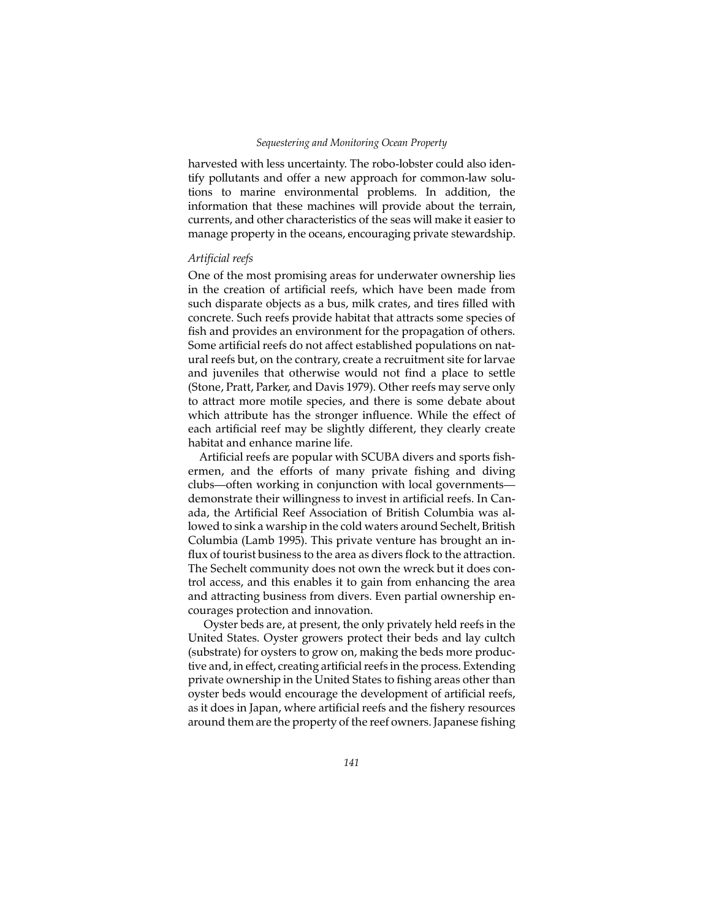harvested with less uncertainty. The robo-lobster could also identify pollutants and offer a new approach for common-law solutions to marine environmental problems. In addition, the information that these machines will provide about the terrain, currents, and other characteristics of the seas will make it easier to manage property in the oceans, encouraging private stewardship.

## *Artificial reefs*

One of the most promising areas for underwater ownership lies in the creation of artificial reefs, which have been made from such disparate objects as a bus, milk crates, and tires filled with concrete. Such reefs provide habitat that attracts some species of fish and provides an environment for the propagation of others. Some artificial reefs do not affect established populations on natural reefs but, on the contrary, create a recruitment site for larvae and juveniles that otherwise would not find a place to settle (Stone, Pratt, Parker, and Davis 1979). Other reefs may serve only to attract more motile species, and there is some debate about which attribute has the stronger influence. While the effect of each artificial reef may be slightly different, they clearly create habitat and enhance marine life.

Artificial reefs are popular with SCUBA divers and sports fishermen, and the efforts of many private fishing and diving clubs—often working in conjunction with local governments demonstrate their willingness to invest in artificial reefs. In Canada, the Artificial Reef Association of British Columbia was allowed to sink a warship in the cold waters around Sechelt, British Columbia (Lamb 1995). This private venture has brought an influx of tourist business to the area as divers flock to the attraction. The Sechelt community does not own the wreck but it does control access, and this enables it to gain from enhancing the area and attracting business from divers. Even partial ownership encourages protection and innovation.

 Oyster beds are, at present, the only privately held reefs in the United States. Oyster growers protect their beds and lay cultch (substrate) for oysters to grow on, making the beds more productive and, in effect, creating artificial reefs in the process. Extending private ownership in the United States to fishing areas other than oyster beds would encourage the development of artificial reefs, as it does in Japan, where artificial reefs and the fishery resources around them are the property of the reef owners. Japanese fishing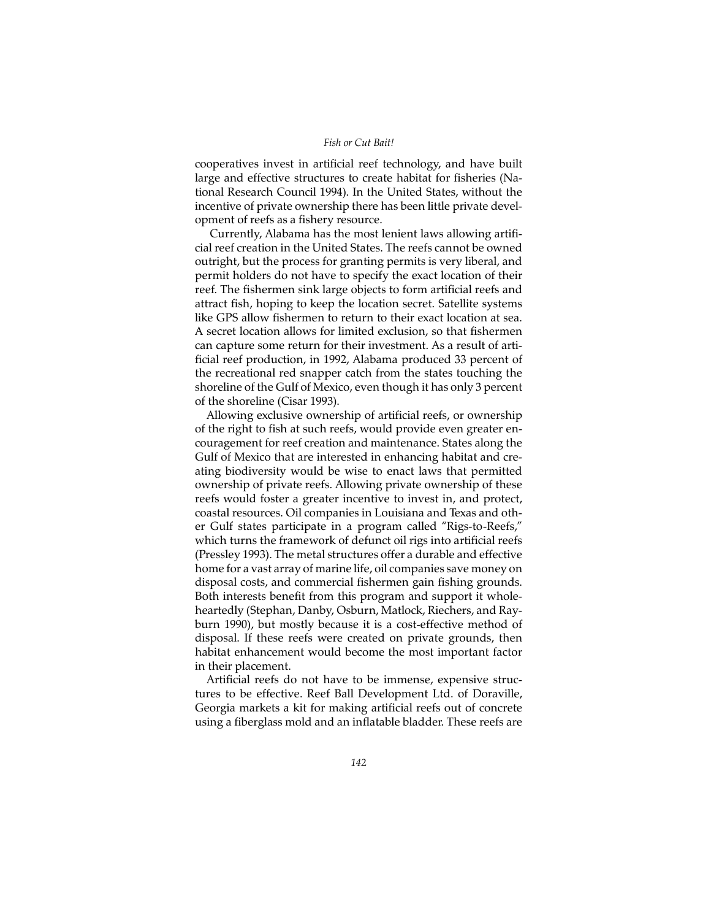cooperatives invest in artificial reef technology, and have built large and effective structures to create habitat for fisheries (National Research Council 1994). In the United States, without the incentive of private ownership there has been little private development of reefs as a fishery resource.

 Currently, Alabama has the most lenient laws allowing artificial reef creation in the United States. The reefs cannot be owned outright, but the process for granting permits is very liberal, and permit holders do not have to specify the exact location of their reef. The fishermen sink large objects to form artificial reefs and attract fish, hoping to keep the location secret. Satellite systems like GPS allow fishermen to return to their exact location at sea. A secret location allows for limited exclusion, so that fishermen can capture some return for their investment. As a result of artificial reef production, in 1992, Alabama produced 33 percent of the recreational red snapper catch from the states touching the shoreline of the Gulf of Mexico, even though it has only 3 percent of the shoreline (Cisar 1993).

Allowing exclusive ownership of artificial reefs, or ownership of the right to fish at such reefs, would provide even greater encouragement for reef creation and maintenance. States along the Gulf of Mexico that are interested in enhancing habitat and creating biodiversity would be wise to enact laws that permitted ownership of private reefs. Allowing private ownership of these reefs would foster a greater incentive to invest in, and protect, coastal resources. Oil companies in Louisiana and Texas and other Gulf states participate in a program called "Rigs-to-Reefs," which turns the framework of defunct oil rigs into artificial reefs (Pressley 1993). The metal structures offer a durable and effective home for a vast array of marine life, oil companies save money on disposal costs, and commercial fishermen gain fishing grounds. Both interests benefit from this program and support it wholeheartedly (Stephan, Danby, Osburn, Matlock, Riechers, and Rayburn 1990), but mostly because it is a cost-effective method of disposal. If these reefs were created on private grounds, then habitat enhancement would become the most important factor in their placement.

Artificial reefs do not have to be immense, expensive structures to be effective. Reef Ball Development Ltd. of Doraville, Georgia markets a kit for making artificial reefs out of concrete using a fiberglass mold and an inflatable bladder. These reefs are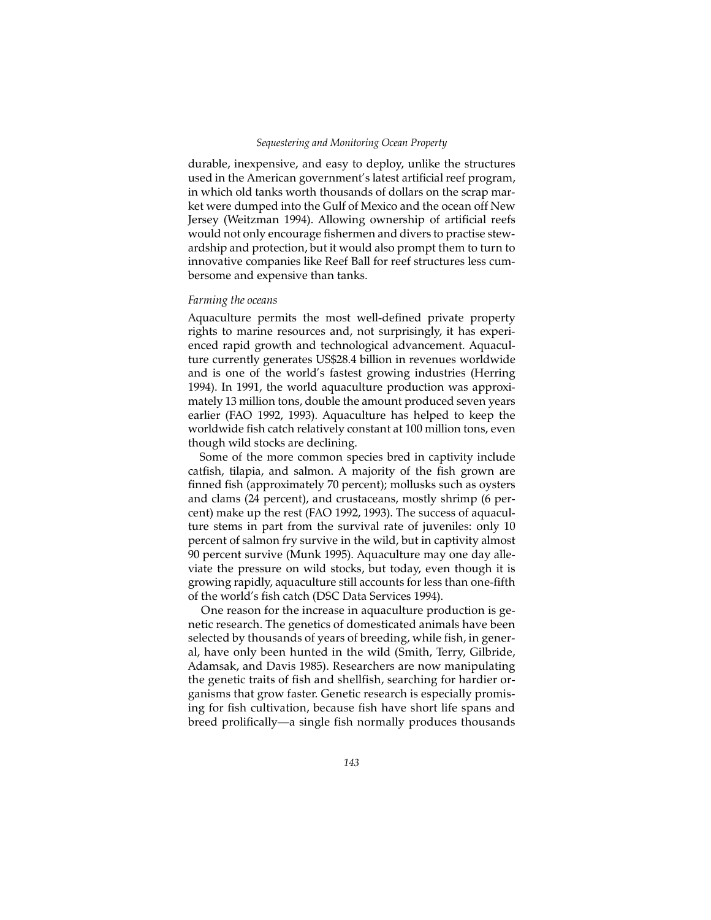#### *Sequestering and Monitoring Ocean Property*

durable, inexpensive, and easy to deploy, unlike the structures used in the American government's latest artificial reef program, in which old tanks worth thousands of dollars on the scrap market were dumped into the Gulf of Mexico and the ocean off New Jersey (Weitzman 1994). Allowing ownership of artificial reefs would not only encourage fishermen and divers to practise stewardship and protection, but it would also prompt them to turn to innovative companies like Reef Ball for reef structures less cumbersome and expensive than tanks.

#### *Farming the oceans*

Aquaculture permits the most well-defined private property rights to marine resources and, not surprisingly, it has experienced rapid growth and technological advancement. Aquaculture currently generates US\$28.4 billion in revenues worldwide and is one of the world's fastest growing industries (Herring 1994). In 1991, the world aquaculture production was approximately 13 million tons, double the amount produced seven years earlier (FAO 1992, 1993). Aquaculture has helped to keep the worldwide fish catch relatively constant at 100 million tons, even though wild stocks are declining.

Some of the more common species bred in captivity include catfish, tilapia, and salmon. A majority of the fish grown are finned fish (approximately 70 percent); mollusks such as oysters and clams (24 percent), and crustaceans, mostly shrimp (6 percent) make up the rest (FAO 1992, 1993). The success of aquaculture stems in part from the survival rate of juveniles: only 10 percent of salmon fry survive in the wild, but in captivity almost 90 percent survive (Munk 1995). Aquaculture may one day alleviate the pressure on wild stocks, but today, even though it is growing rapidly, aquaculture still accounts for less than one-fifth of the world's fish catch (DSC Data Services 1994).

One reason for the increase in aquaculture production is genetic research. The genetics of domesticated animals have been selected by thousands of years of breeding, while fish, in general, have only been hunted in the wild (Smith, Terry, Gilbride, Adamsak, and Davis 1985). Researchers are now manipulating the genetic traits of fish and shellfish, searching for hardier organisms that grow faster. Genetic research is especially promising for fish cultivation, because fish have short life spans and breed prolifically—a single fish normally produces thousands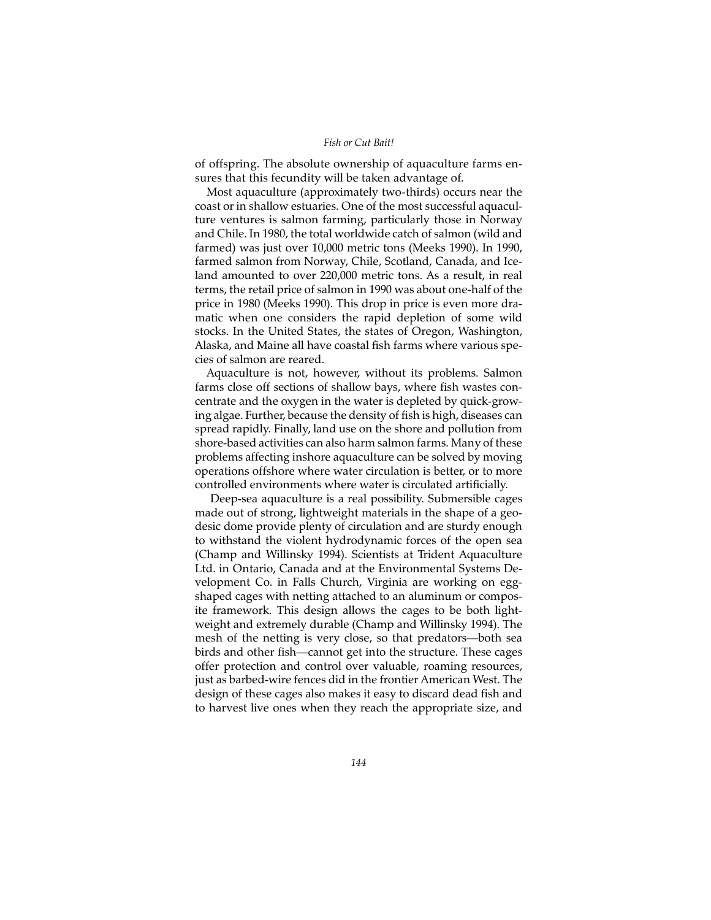of offspring. The absolute ownership of aquaculture farms ensures that this fecundity will be taken advantage of.

Most aquaculture (approximately two-thirds) occurs near the coast or in shallow estuaries. One of the most successful aquaculture ventures is salmon farming, particularly those in Norway and Chile. In 1980, the total worldwide catch of salmon (wild and farmed) was just over 10,000 metric tons (Meeks 1990). In 1990, farmed salmon from Norway, Chile, Scotland, Canada, and Iceland amounted to over 220,000 metric tons. As a result, in real terms, the retail price of salmon in 1990 was about one-half of the price in 1980 (Meeks 1990). This drop in price is even more dramatic when one considers the rapid depletion of some wild stocks. In the United States, the states of Oregon, Washington, Alaska, and Maine all have coastal fish farms where various species of salmon are reared.

Aquaculture is not, however, without its problems. Salmon farms close off sections of shallow bays, where fish wastes concentrate and the oxygen in the water is depleted by quick-growing algae. Further, because the density of fish is high, diseases can spread rapidly. Finally, land use on the shore and pollution from shore-based activities can also harm salmon farms. Many of these problems affecting inshore aquaculture can be solved by moving operations offshore where water circulation is better, or to more controlled environments where water is circulated artificially.

 Deep-sea aquaculture is a real possibility. Submersible cages made out of strong, lightweight materials in the shape of a geodesic dome provide plenty of circulation and are sturdy enough to withstand the violent hydrodynamic forces of the open sea (Champ and Willinsky 1994). Scientists at Trident Aquaculture Ltd. in Ontario, Canada and at the Environmental Systems Development Co. in Falls Church, Virginia are working on eggshaped cages with netting attached to an aluminum or composite framework. This design allows the cages to be both lightweight and extremely durable (Champ and Willinsky 1994). The mesh of the netting is very close, so that predators—both sea birds and other fish—cannot get into the structure. These cages offer protection and control over valuable, roaming resources, just as barbed-wire fences did in the frontier American West. The design of these cages also makes it easy to discard dead fish and to harvest live ones when they reach the appropriate size, and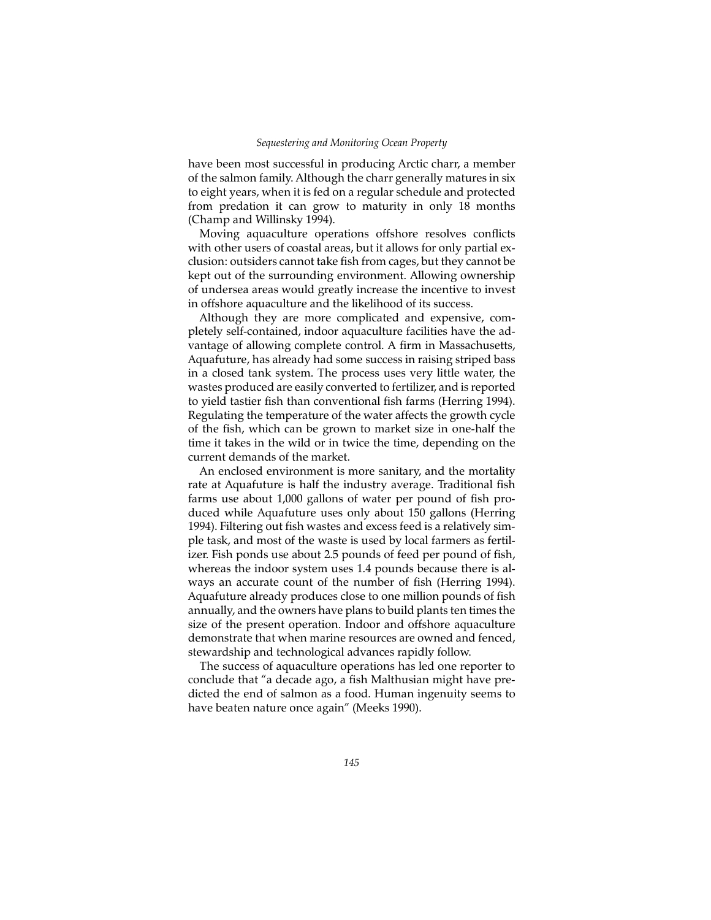have been most successful in producing Arctic charr, a member of the salmon family. Although the charr generally matures in six to eight years, when it is fed on a regular schedule and protected from predation it can grow to maturity in only 18 months (Champ and Willinsky 1994).

Moving aquaculture operations offshore resolves conflicts with other users of coastal areas, but it allows for only partial exclusion: outsiders cannot take fish from cages, but they cannot be kept out of the surrounding environment. Allowing ownership of undersea areas would greatly increase the incentive to invest in offshore aquaculture and the likelihood of its success.

Although they are more complicated and expensive, completely self-contained, indoor aquaculture facilities have the advantage of allowing complete control. A firm in Massachusetts, Aquafuture, has already had some success in raising striped bass in a closed tank system. The process uses very little water, the wastes produced are easily converted to fertilizer, and is reported to yield tastier fish than conventional fish farms (Herring 1994). Regulating the temperature of the water affects the growth cycle of the fish, which can be grown to market size in one-half the time it takes in the wild or in twice the time, depending on the current demands of the market.

An enclosed environment is more sanitary, and the mortality rate at Aquafuture is half the industry average. Traditional fish farms use about 1,000 gallons of water per pound of fish produced while Aquafuture uses only about 150 gallons (Herring 1994). Filtering out fish wastes and excess feed is a relatively simple task, and most of the waste is used by local farmers as fertilizer. Fish ponds use about 2.5 pounds of feed per pound of fish, whereas the indoor system uses 1.4 pounds because there is always an accurate count of the number of fish (Herring 1994). Aquafuture already produces close to one million pounds of fish annually, and the owners have plans to build plants ten times the size of the present operation. Indoor and offshore aquaculture demonstrate that when marine resources are owned and fenced, stewardship and technological advances rapidly follow.

The success of aquaculture operations has led one reporter to conclude that "a decade ago, a fish Malthusian might have predicted the end of salmon as a food. Human ingenuity seems to have beaten nature once again" (Meeks 1990).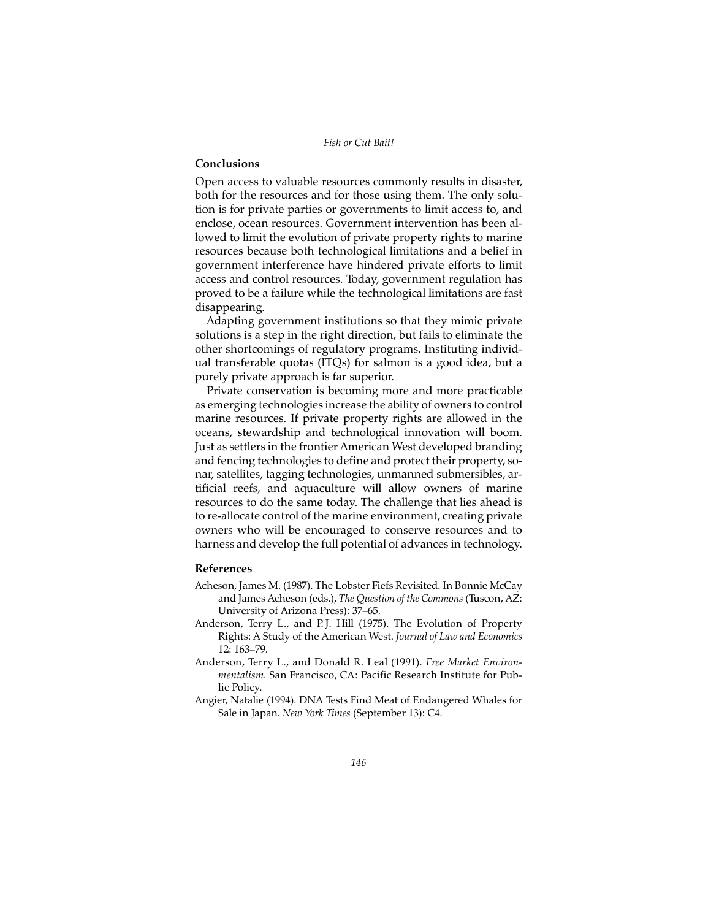# **Conclusions**

Open access to valuable resources commonly results in disaster, both for the resources and for those using them. The only solution is for private parties or governments to limit access to, and enclose, ocean resources. Government intervention has been allowed to limit the evolution of private property rights to marine resources because both technological limitations and a belief in government interference have hindered private efforts to limit access and control resources. Today, government regulation has proved to be a failure while the technological limitations are fast disappearing.

Adapting government institutions so that they mimic private solutions is a step in the right direction, but fails to eliminate the other shortcomings of regulatory programs. Instituting individual transferable quotas (ITQs) for salmon is a good idea, but a purely private approach is far superior.

Private conservation is becoming more and more practicable as emerging technologies increase the ability of owners to control marine resources. If private property rights are allowed in the oceans, stewardship and technological innovation will boom. Just as settlers in the frontier American West developed branding and fencing technologies to define and protect their property, sonar, satellites, tagging technologies, unmanned submersibles, artificial reefs, and aquaculture will allow owners of marine resources to do the same today. The challenge that lies ahead is to re-allocate control of the marine environment, creating private owners who will be encouraged to conserve resources and to harness and develop the full potential of advances in technology.

## **References**

- Acheson, James M. (1987). The Lobster Fiefs Revisited. In Bonnie McCay and James Acheson (eds.), *The Question of the Commons* (Tuscon, AZ: University of Arizona Press): 37–65.
- Anderson, Terry L., and P.J. Hill (1975). The Evolution of Property Rights: A Study of the American West. *Journal of Law and Economics* 12: 163–79.
- Anderson, Terry L., and Donald R. Leal (1991). *Free Market Environmentalism*. San Francisco, CA: Pacific Research Institute for Public Policy.
- Angier, Natalie (1994). DNA Tests Find Meat of Endangered Whales for Sale in Japan. *New York Times* (September 13): C4.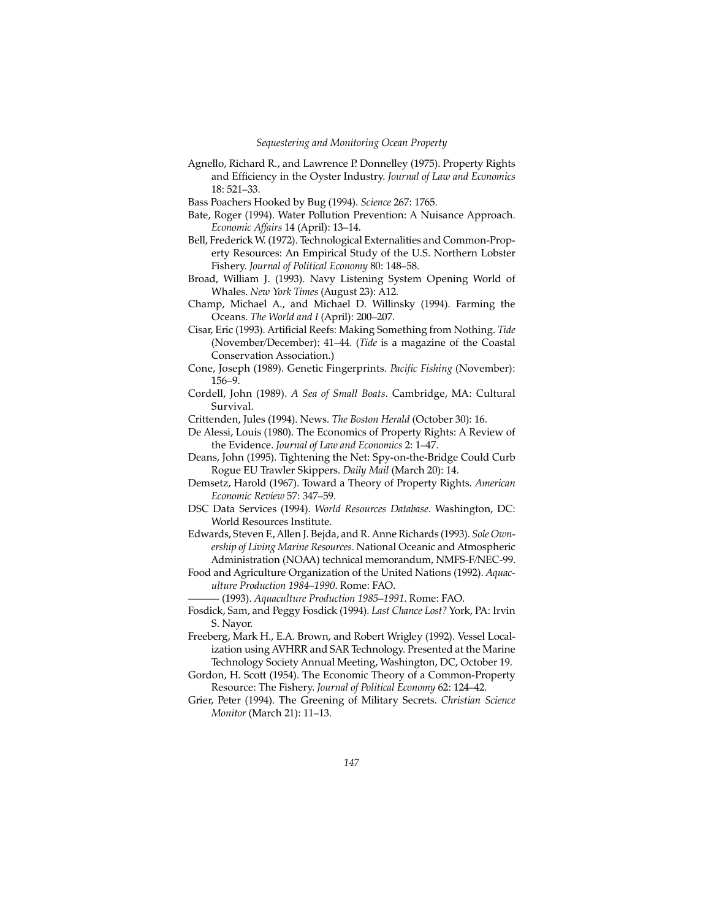Agnello, Richard R., and Lawrence P. Donnelley (1975). Property Rights and Efficiency in the Oyster Industry. *Journal of Law and Economics* 18: 521–33.

Bass Poachers Hooked by Bug (1994). *Science* 267: 1765.

- Bate, Roger (1994). Water Pollution Prevention: A Nuisance Approach. *Economic Affairs* 14 (April): 13–14.
- Bell, Frederick W. (1972). Technological Externalities and Common-Property Resources: An Empirical Study of the U.S. Northern Lobster Fishery. *Journal of Political Economy* 80: 148–58.
- Broad, William J. (1993). Navy Listening System Opening World of Whales. *New York Times* (August 23): A12.
- Champ, Michael A., and Michael D. Willinsky (1994). Farming the Oceans. *The World and I* (April): 200–207.
- Cisar, Eric (1993). Artificial Reefs: Making Something from Nothing. *Tide* (November/December): 41–44. (*Tide* is a magazine of the Coastal Conservation Association.)
- Cone, Joseph (1989). Genetic Fingerprints. *Pacific Fishing* (November): 156–9.
- Cordell, John (1989). *A Sea of Small Boats*. Cambridge, MA: Cultural Survival.
- Crittenden, Jules (1994). News. *The Boston Herald* (October 30): 16.
- De Alessi, Louis (1980). The Economics of Property Rights: A Review of the Evidence. *Journal of Law and Economics* 2: 1–47.
- Deans, John (1995). Tightening the Net: Spy-on-the-Bridge Could Curb Rogue EU Trawler Skippers. *Daily Mail* (March 20): 14.
- Demsetz, Harold (1967). Toward a Theory of Property Rights. *American Economic Review* 57: 347–59.
- DSC Data Services (1994). *World Resources Database*. Washington, DC: World Resources Institute.
- Edwards, Steven F., Allen J. Bejda, and R. Anne Richards (1993). *Sole Ownership of Living Marine Resources*. National Oceanic and Atmospheric Administration (NOAA) technical memorandum, NMFS-F/NEC-99.
- Food and Agriculture Organization of the United Nations (1992). *Aquaculture Production 1984–1990*. Rome: FAO.

——— (1993). *Aquaculture Production 1985–1991*. Rome: FAO.

- Fosdick, Sam, and Peggy Fosdick (1994). *Last Chance Lost?* York, PA: Irvin S. Nayor.
- Freeberg, Mark H., E.A. Brown, and Robert Wrigley (1992). Vessel Localization using AVHRR and SAR Technology. Presented at the Marine Technology Society Annual Meeting, Washington, DC, October 19.
- Gordon, H. Scott (1954). The Economic Theory of a Common-Property Resource: The Fishery. *Journal of Political Economy* 62: 124–42.
- Grier, Peter (1994). The Greening of Military Secrets. *Christian Science Monitor* (March 21): 11–13.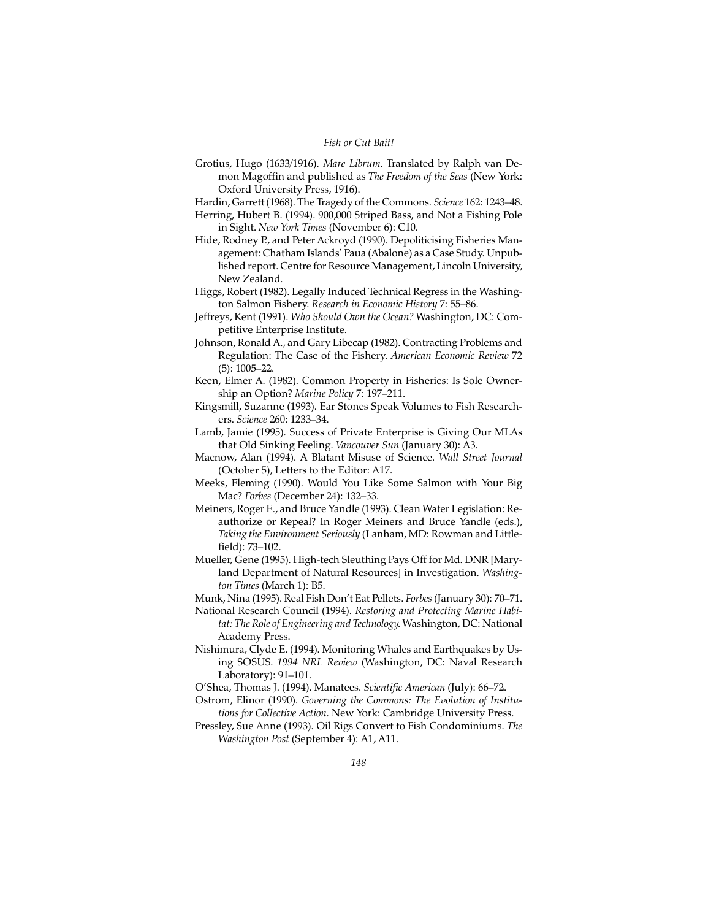- Grotius, Hugo (1633/1916). *Mare Librum*. Translated by Ralph van Demon Magoffin and published as *The Freedom of the Seas* (New York: Oxford University Press, 1916).
- Hardin, Garrett (1968). The Tragedy of the Commons. *Science* 162: 1243–48.
- Herring, Hubert B. (1994). 900,000 Striped Bass, and Not a Fishing Pole in Sight. *New York Times* (November 6): C10.
- Hide, Rodney P., and Peter Ackroyd (1990). Depoliticising Fisheries Management: Chatham Islands' Paua (Abalone) as a Case Study. Unpublished report. Centre for Resource Management, Lincoln University, New Zealand.
- Higgs, Robert (1982). Legally Induced Technical Regress in the Washington Salmon Fishery. *Research in Economic History* 7: 55–86.
- Jeffreys, Kent (1991). *Who Should Own the Ocean?* Washington, DC: Competitive Enterprise Institute.
- Johnson, Ronald A., and Gary Libecap (1982). Contracting Problems and Regulation: The Case of the Fishery. *American Economic Review* 72 (5): 1005–22.
- Keen, Elmer A. (1982). Common Property in Fisheries: Is Sole Ownership an Option? *Marine Policy* 7: 197–211.
- Kingsmill, Suzanne (1993). Ear Stones Speak Volumes to Fish Researchers. *Science* 260: 1233–34.
- Lamb, Jamie (1995). Success of Private Enterprise is Giving Our MLAs that Old Sinking Feeling. *Vancouver Sun* (January 30): A3.
- Macnow, Alan (1994). A Blatant Misuse of Science. *Wall Street Journal* (October 5), Letters to the Editor: A17.
- Meeks, Fleming (1990). Would You Like Some Salmon with Your Big Mac? *Forbes* (December 24): 132–33.
- Meiners, Roger E., and Bruce Yandle (1993). Clean Water Legislation: Reauthorize or Repeal? In Roger Meiners and Bruce Yandle (eds.), *Taking the Environment Seriously* (Lanham, MD: Rowman and Littlefield): 73–102.
- Mueller, Gene (1995). High-tech Sleuthing Pays Off for Md. DNR [Maryland Department of Natural Resources] in Investigation. *Washington Times* (March 1): B5.
- Munk, Nina (1995). Real Fish Don't Eat Pellets. *Forbes* (January 30): 70–71.
- National Research Council (1994). *Restoring and Protecting Marine Habitat: The Role of Engineering and Technology*. Washington, DC: National Academy Press.
- Nishimura, Clyde E. (1994). Monitoring Whales and Earthquakes by Using SOSUS. *1994 NRL Review* (Washington, DC: Naval Research Laboratory): 91–101.
- O'Shea, Thomas J. (1994). Manatees. *Scientific American* (July): 66–72.
- Ostrom, Elinor (1990). *Governing the Commons: The Evolution of Institutions for Collective Action*. New York: Cambridge University Press.
- Pressley, Sue Anne (1993). Oil Rigs Convert to Fish Condominiums. *The Washington Post* (September 4): A1, A11.